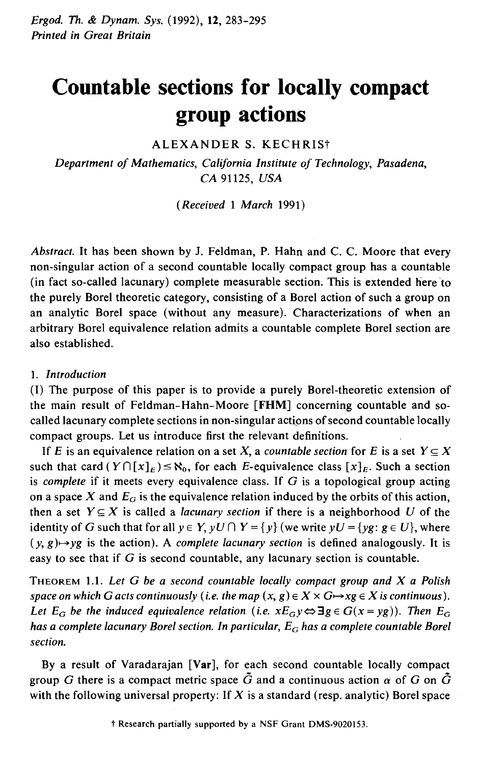# **Countable sections for locally compact group actions**

ALEXANDER S. KECHRISt

*Department of Mathematics, California Institute of Technology, Pasadena, CA* 91125, *USA* 

*(Received* 1 *March* 1991)

*Abstract.* It has been shown by J. Feldman, P. Hahn and C. C. Moore that every non-singular action of a second countable locally compact group has a countable (in fact so-called lacunary) complete measurable section. This is extended here to the purely Borel theoretic category, consisting of a Borel action of such a group on an analytic Borel space (without any measure). Characterizations of when an arbitrary Borel equivalence relation admits a countable complete Borel section are also established.

### 1. *Introduction*

(I) The purpose of this paper is to provide a purely Borel-theoretic extension of the main result of Feldman-Hahn-Moore **[FHM]** concerning countable and socalled lacunary complete sections in non-singular actipns of second countable locally compact groups. Let us introduce first the relevant definitions.

If *E* is an equivalence relation on a set *X*, a *countable section* for *E* is a set  $Y \subseteq X$ such that card  $(Y \cap [x]_E) \le \aleph_0$ , for each E-equivalence class  $[x]_E$ . Such a section is *complete* if it meets every equivalence class. If G is a topological group acting on a space X and  $E<sub>G</sub>$  is the equivalence relation induced by the orbits of this action, then a set  $Y \subseteq X$  is called a *lacunary section* if there is a neighborhood U of the identity of G such that for all  $y \in Y$ ,  $yU \cap Y = \{y\}$  (we write  $yU = \{yg : g \in U\}$ , where  $(y, g) \mapsto yg$  is the action). A *complete lacunary section* is defined analogously. It is easy to see that if G is second countable, any lacunary section is countable.

THEOREM 1.1. *Let* G *be a second countable locally compact group and X a Polish space on which G acts continuously* (*i.e. the map*  $(x, g) \in X \times G \rightarrow xg \in X$  *is continuous*). *Let*  $E_G$  *be the induced equivalence relation (i.e.*  $xE_Gy \Leftrightarrow \exists g \in G(x = yg)$ ). Then  $E_G$ *has a complete lacunary Borel section. In particular, E<sub>G</sub> has a complete countable Borel section.* 

By a result of Varadarajan **[Var],** for each second countable locally compact group G there is a compact metric space  $\tilde{G}$  and a continuous action  $\alpha$  of G on  $\tilde{G}$ with the following universal property: If  $X$  is a standard (resp. analytic) Borel space

t Research partially supported by a NSF Grant DMS-9020153.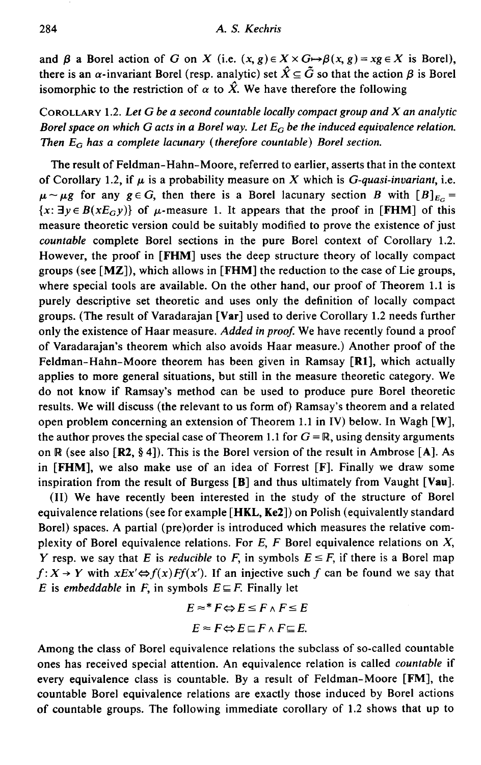and  $\beta$  a Borel action of *G* on *X* (i.e.  $(x, g) \in X \times G \rightarrow \beta(x, g) = xg \in X$  is Borel), there is an  $\alpha$ -invariant Borel (resp. analytic) set  $\hat{X} \subseteq \tilde{G}$  so that the action  $\beta$  is Borel isomorphic to the restriction of  $\alpha$  to  $\hat{X}$ . We have therefore the following

# CoROLLARY 1.2. *Let G be a second countable locally compact group and X an analytic Borel space on which G acts in a Borel way. Let*  $E_G$  *be the induced equivalence relation. Then*  $E_G$  has a complete lacunary (therefore countable) Borel section.

The result of Feldman-Hahn-Moore, referred to earlier, asserts that in the context of Corollary 1.2, if  $\mu$  is a probability measure on X which is *G-quasi-invariant*, *i.e.*  $\mu \sim \mu$ g for any  $g \in G$ , then there is a Borel lacunary section *B* with  $[B]_{E_G}$  =  ${x: \exists y \in B(xE_0 y)}$  of  $\mu$ -measure 1. It appears that the proof in **[FHM]** of this measure theoretic version could be suitably modified to prove the existence of just *countable* complete Borel sections in the pure Borel context of Corollary 1.2. However, the proof in **[FHM]** uses the deep structure theory of locally compact groups (see **[MZ]),** which allows in **[FHM]** the reduction to the case of Lie groups, where special tools are available. On the other hand, our proof of Theorem 1.1 is purely descriptive set theoretic and uses only the definition of locally compact groups. (The result of Varadarajan **[Var]** used to derive Corollary 1.2 needs further only the existence of Haar measure. *Added in proof.* We have recently found a proof of Varadarajan's theorem which also avoids Haar measure.) Another proof of the Feldman-Hahn-Moore theorem has been given in Ramsay **[Rl],** which actually applies to more general situations, but still in the measure theoretic category. We do not know if Ramsay's method can be used to produce pure Borel theoretic results. We will discuss (the relevant to us form of) Ramsay's theorem and a related open problem concerning an extension of Theorem 1.1 in IV) below. In Wagh **[W],**  the author proves the special case of Theorem 1.1 for  $G = \mathbb{R}$ , using density arguments on IR (see also **[R2,** § 4]). This is the Borel version of the result in Ambrose [A]. As in **[FHM],** we also make use of an idea of Forrest [F]. Finally we draw some inspiration from the result of Burgess **[B]** and thus ultimately from Vaught **[Vau].** 

(II) We have recently been interested in the study of the structure of Borel equivalence relations (see for example **[HKL, Ke2])** on Polish (equivalently standard Borel) spaces. A partial (pre)order is introduced which measures the relative complexity of Borel equivalence relations. For  $E$ ,  $F$  Borel equivalence relations on  $X$ , *Y* resp. we say that *E* is *reducible* to *F*, in symbols  $E \leq F$ , if there is a Borel map  $f: X \rightarrow Y$  with  $xEx' \Leftrightarrow f(x)Ff(x')$ . If an injective such f can be found we say that *E* is *embeddable* in *F*, in symbols  $E \subseteq F$ . Finally let

$$
E \approx^* F \Leftrightarrow E \le F \wedge F \le E
$$

$$
E \approx F \Leftrightarrow E \sqsubseteq F \wedge F \sqsubseteq E.
$$

Among the class of Borel equivalence relations the subclass of so-called countable ones has received special attention. An equivalence relation is called *countable* if every equivalence class is countable. By a result of Feldman-Moore **[FM],** the countable Borel equivalence relations are exactly those induced by Borel actions of countable groups. The following immediate corollary of 1.2 shows that up to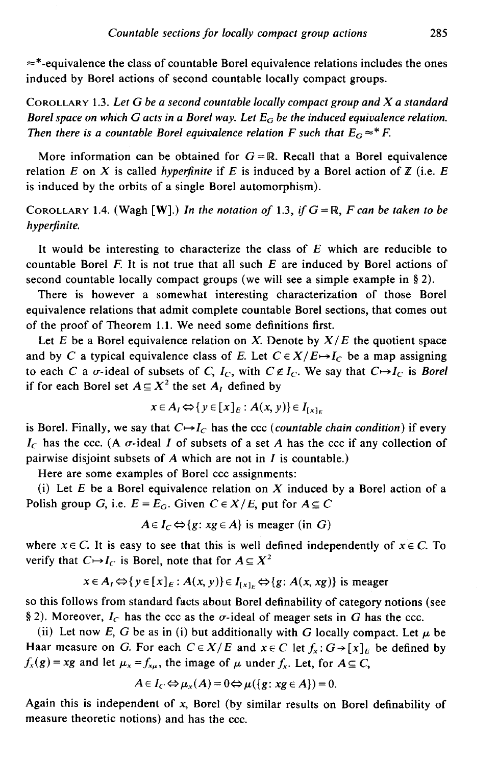$\approx$ \*-equivalence the class of countable Borel equivalence relations includes the ones induced by Borel actions of second countable locally compact groups.

CoROLLARY 1.3. *Let* G *be a second countable locally compact group and X a standard Borel space on which G acts in a Borel way. Let*  $E_G$  *be the induced equivalence relation. Then there is a countable Borel equivalence relation F such that*  $E_G \approx^* F$ *.* 

More information can be obtained for  $G = \mathbb{R}$ . Recall that a Borel equivalence relation *E* on *X* is called *hyperfinite* if *E* is induced by a Borel action of  $Z$  (i.e. *E* is induced by the orbits of a single Borel automorphism).

COROLLARY 1.4. (Wagh [W].) *In the notation of* 1.3, *if*  $G = \mathbb{R}$ , *F can be taken to be hyperfinite.* 

It would be interesting to characterize the class of  $E$  which are reducible to countable Borel F. It is not true that all such  $E$  are induced by Borel actions of second countable locally compact groups (we will see a simple example in § 2).

There is however a somewhat interesting characterization of those Borel equivalence relations that admit complete countable Borel sections, that comes out of the proof of Theorem 1.1. We need some definitions first.

Let  $E$  be a Borel equivalence relation on *X*. Denote by  $X/E$  the quotient space and by *C* a typical equivalence class of *E*. Let  $C \in X/E \mapsto I_C$  be a map assigning to each *C* a  $\sigma$ -ideal of subsets of *C*,  $I_c$ , with  $C \notin I_c$ . We say that  $C \mapsto I_c$  is *Borel* if for each Borel set  $A \subseteq X^2$  the set  $A_i$  defined by

$$
x \in A_I \Leftrightarrow \{ y \in [x]_E : A(x, y) \} \in I_{[x]_E}
$$

is Borel. Finally, we say that  $C \rightarrow I_C$  has the ccc *(countable chain condition)* if every  $I_c$  has the ccc. (A  $\sigma$ -ideal *I* of subsets of a set *A* has the ccc if any collection of pairwise disjoint subsets of *A* which are not in *I* is countable.)

Here are some examples of Borel ccc assignments:

(i) Let *E* be a Borel equivalence relation on *X* induced by a Borel action of a Polish group G, i.e.  $E = E_G$ . Given  $C \in X/E$ , put for  $A \subseteq C$ 

$$
A \in I_C \Leftrightarrow \{g : xg \in A\}
$$
 is meager (in G)

where  $x \in C$ . It is easy to see that this is well defined independently of  $x \in C$ . To verify that  $C \rightarrow I_C$  is Borel, note that for  $A \subseteq X^2$ 

$$
x \in A_I \Leftrightarrow \{y \in [x]_E : A(x, y)\} \in I_{\{x\}_E} \Leftrightarrow \{g : A(x, xg)\} \text{ is meager}
$$

so this follows from standard facts about Borel definability of category notions (see § 2). Moreover,  $I_C$  has the ccc as the  $\sigma$ -ideal of meager sets in G has the ccc.

(ii) Let now E, G be as in (i) but additionally with G locally compact. Let  $\mu$  be Haar measure on G. For each  $C \in X/E$  and  $x \in C$  let  $f_x : G \rightarrow [x]_E$  be defined by  $f_x(g) = xg$  and let  $\mu_x = f_{x\mu}$ , the image of  $\mu$  under  $f_x$ . Let, for  $A \subseteq C$ ,

$$
A\in I_C \Leftrightarrow \mu_x(A)=0 \Leftrightarrow \mu(\lbrace g:\,xg\in A\rbrace)=0.
$$

Again this is independent of *x,* Borel (by similar results on Borel definability of measure theoretic notions) and has the ccc.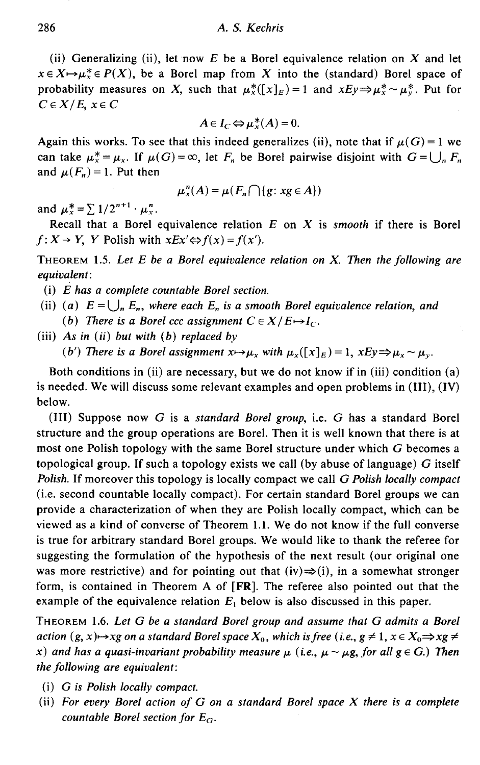(ii) Generalizing (ii), let now E be a Borel equivalence relation on X and let  $x \in X \rightarrow \mu_X^* \in P(X)$ , be a Borel map from X into the (standard) Borel space of probability measures on X, such that  $\mu_{\kappa}^{*}([x]_{F})=1$  and  $xEy\Rightarrow \mu_{\kappa}^{*} \sim \mu_{\kappa}^{*}$ . Put for  $C \in X/E$ ,  $x \in C$ 

$$
A\in I_C \Leftrightarrow \mu_x^*(A)=0.
$$

Again this works. To see that this indeed generalizes (ii), note that if  $\mu(G) = 1$  we can take  $\mu_x^* = \mu_x$ . If  $\mu(G) = \infty$ , let  $F_n$  be Borel pairwise disjoint with  $G = \bigcup_n F_n$ and  $\mu(F_n) = 1$ . Put then

$$
\mu_x^n(A) = \mu(F_n \cap \{g : xg \in A\})
$$

and  $\mu_x^* = \sum 1/2^{n+1} \cdot \mu_x^n$ .

Recall that a Borel equivalence relation *E* on *X* is *smooth* if there is Borel  $f: X \to Y$ , *Y* Polish with  $xEx \Leftrightarrow f(x) = f(x')$ .

THEOREM 1.5. *Let E be a Borel equivalence relation on X. Then the following are equivalent:* 

- (i) *E has a complete countable Borel section.*
- (ii) (a)  $E = \bigcup_n E_n$ , where each  $E_n$  is a smooth Borel equivalence relation, and *(b)* There is a Borel ccc assignment  $C \in X/E \rightarrow I_C$ .
- (iii) *As in* ( *ii) but with (b) replaced by*

*(b') There is a Borel assignment*  $x \mapsto \mu_x$  *with*  $\mu_x([x]_E) = 1$ *,*  $xEy \Rightarrow \mu_x \sim \mu_y$ *.* 

Both conditions in (ii) are necessary, but we do not know if in (iii) condition (a) is needed. We will discuss some relevant examples and open problems in (III), (IV) below.

(III) Suppose now *G* is a *standard Borel group,* i.e. *G* has a standard Borel structure and the group operations are Borel. Then it is well known that there is at most one Polish topology with the same Borel structure under which G becomes a topological group. If such a topology exists we call (by abuse of language)  $G$  itself *Polish.* If moreover this topology is locally compact we call *G Polish locally compact*  (i.e. second countable locally compact). For certain standard Borel groups we can provide a characterization of when they are Polish locally compact, which can be viewed as a kind of converse of Theorem 1.1. We do not know if the full converse is true for arbitrary standard Borel groups. We would like to thank the referee for suggesting the formulation of the hypothesis of the next result (our original one was more restrictive) and for pointing out that  $(iv) \Rightarrow (i)$ , in a somewhat stronger form, is contained in Theorem A of [FR]. The referee also pointed out that the example of the equivalence relation  $E_1$  below is also discussed in this paper.

THEOREM 1.6. *Let G be a standard Borel group and assume that G admits a Borel action*  $(g, x) \rightarrow xg$  *on a standard Borel space*  $X_0$ , *which is free* (*i.e.*,  $g \neq 1$ ,  $x \in X_0 \Rightarrow xg \neq 0$ *x*) and has a quasi-invariant probability measure  $\mu$  (i.e.,  $\mu \sim \mu$ g, for all  $g \in G$ .) Then *the following are equivalent:* 

- (i) *G is Polish locally compact.*
- (ii) *For every Borel action of G on a standard Borel space* X *there is a complete countable Borel section for E<sub>G</sub>*.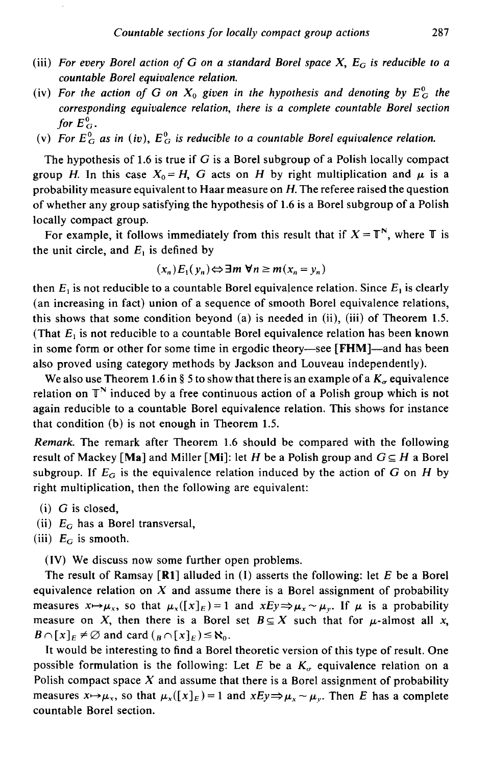- (iii) *For every Borel action of G on a standard Borel space X,*  $E_G$  *is reducible to a countable Borel equivalence relation.*
- (iv) For the action of G on  $X_0$  given in the hypothesis and denoting by  $E_G^0$  the *corresponding equivalence relation, there is a complete countable Borel section*  for  $E_G^0$ .
- (v) For  $E_G^0$  as in (iv),  $E_G^0$  is reducible to a countable Borel equivalence relation.

The hypothesis of 1.6 is true if  $G$  is a Borel subgroup of a Polish locally compact group *H*. In this case  $X_0 = H$ , G acts on H by right multiplication and  $\mu$  is a probability measure equivalent to Haar measure on *H.* The referee raised the question of whether any group satisfying the hypothesis of 1.6 is a Borel subgroup of a Polish locally compact group.

For example, it follows immediately from this result that if  $X = T^N$ , where T is the unit circle, and  $E_1$  is defined by

$$
(x_n)E_1(y_n) \Leftrightarrow \exists m \forall n \ge m (x_n = y_n)
$$

then  $E_1$  is not reducible to a countable Borel equivalence relation. Since  $E_1$  is clearly (an increasing in fact) union of a sequence of smooth Borel equivalence relations, this shows that some condition beyond (a) is needed in (ii), (iii) of Theorem 1.5. (That  $E_1$  is not reducible to a countable Borel equivalence relation has been known in some form or other for some time in ergodic theory—see [FHM]—and has been also proved using category methods by Jackson and Louveau independently).

We also use Theorem 1.6 in § 5 to show that there is an example of a  $K_a$  equivalence relation on  $\mathbb{T}^N$  induced by a free continuous action of a Polish group which is not again reducible to a countable Borel equivalence relation. This shows for instance that condition (b) is not enough in Theorem 1.5.

*Remark.* The remark after Theorem 1.6 should be compared with the following result of Mackey [Ma] and Miller [Mi]: let H be a Polish group and  $G \subseteq H$  a Borel subgroup. If  $E_G$  is the equivalence relation induced by the action of  $G$  on  $H$  by right multiplication, then the following are equivalent:

- $(i)$  G is closed,
- (ii) E*0* has a Borel transversal,
- (iii)  $E_G$  is smooth.

(IV) We discuss now some further open problems.

The result of Ramsay  $[**R1**]$  alluded in (I) asserts the following: let E be a Borel equivalence relation on  $X$  and assume there is a Borel assignment of probability measures  $x \mapsto \mu_x$ , so that  $\mu_x([x]_E) = 1$  and  $x E y \Rightarrow \mu_x \sim \mu_y$ . If  $\mu$  is a probability measure on X, then there is a Borel set  $B \subseteq X$  such that for  $\mu$ -almost all x,  $B \cap [x]_E \neq \emptyset$  and card  $({}_B \cap [x]_E) \leq \aleph_0$ .

It would be interesting to find a Borel theoretic version of this type of result. One possible formulation is the following: Let E be a  $K_a$  equivalence relation on a Polish compact space *X* and assume that there is a Borel assignment of probability measures  $x \mapsto \mu_x$ , so that  $\mu_x([x]_E) = 1$  and  $xEy \mapsto \mu_x \sim \mu_y$ . Then E has a complete countable Borel section.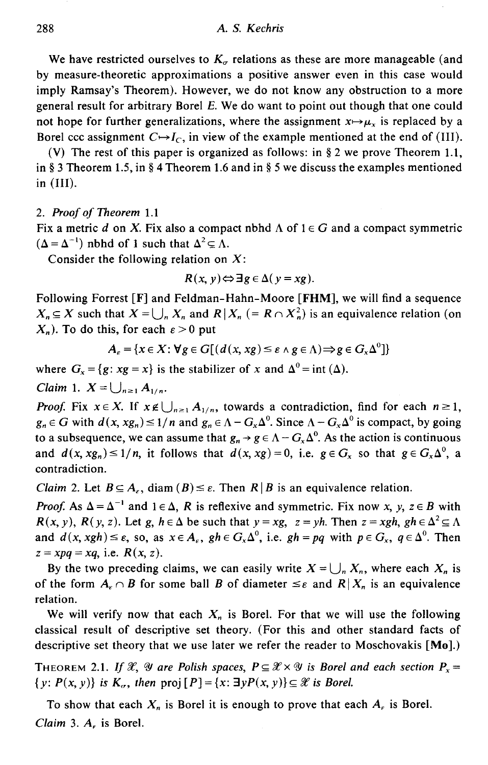We have restricted ourselves to  $K<sub>\sigma</sub>$  relations as these are more manageable (and by measure-theoretic approximations a positive answer even in this case would imply Ramsay's Theorem). However, we do not know any obstruction to a more general result for arbitrary Borel *E.* We do want to point out though that one could not hope for further generalizations, where the assignment  $x \mapsto \mu_x$  is replaced by a Borel ccc assignment  $C \rightarrow I_C$ , in view of the example mentioned at the end of (III).

(V) The rest of this paper is organized as follows: in  $\S 2$  we prove Theorem 1.1, in § 3 Theorem 1.5, in § 4 Theorem 1.6 and in § 5 we discuss the examples mentioned in (III).

#### 2. *Proof of Theorem* 1.1

Fix a metric *d* on *X*. Fix also a compact nbhd  $\Lambda$  of  $1 \in G$  and a compact symmetric  $(\Delta = \Delta^{-1})$  nbhd of 1 such that  $\Delta^2 \subseteq \Lambda$ .

Consider the following relation on  $X$ :

$$
R(x, y) \Leftrightarrow \exists g \in \Delta(y = xg).
$$

Following Forrest [F] and Feldman-Hahn-Moore **[FHM],** we will find a sequence  $X_n \subseteq X$  such that  $X = \bigcup_n X_n$  and  $R \mid X_n$  (=  $R \cap X_n^2$ ) is an equivalence relation (on  $X_n$ ). To do this, for each  $\varepsilon > 0$  put

$$
A_{\varepsilon} = \{x \in X : \forall g \in G[(d(x, xg) \leq \varepsilon \land g \in \Lambda) \Rightarrow g \in G_{x} \Delta^{0}]\}
$$

where  $G_x = \{g : xg = x\}$  is the stabilizer of *x* and  $\Delta^0 = \text{int }(\Delta)$ .

*Claim* 1.  $X = \bigcup_{n \geq 1} A_{1/n}$ .

*Proof.* Fix  $x \in X$ . If  $x \notin \bigcup_{n \geq 1} A_{1/n}$ , towards a contradiction, find for each  $n \geq 1$ ,  $g_n \in G$  with  $d(x, xg_n) \leq 1/n$  and  $g_n \in \Lambda - G_x \Delta^0$ . Since  $\Lambda - G_x \Delta^0$  is compact, by going to a subsequence, we can assume that  $g_n \to g \in \Lambda - G_x \Delta^0$ . As the action is continuous and  $d(x, xg_n) \leq 1/n$ , it follows that  $d(x, xg) = 0$ , i.e.  $g \in G_x$  so that  $g \in G_x \Delta^0$ , a contradiction.

*Claim 2.* Let  $B \subseteq A_{\epsilon}$ , diam  $(B) \leq \epsilon$ . Then  $R \mid B$  is an equivalence relation.

*Proof.* As  $\Delta = \Delta^{-1}$  and  $1 \in \Delta$ , *R* is reflexive and symmetric. Fix now *x*, *y*, *z*  $\in$  *B* with *R*(*x, y*), *R*(*y, z*). Let *g, h*  $\in \Delta$  be such that  $y = xg$ ,  $z = yh$ . Then  $z = xgh$ ,  $gh \in \Delta^2 \subseteq \Lambda$ and  $d(x, xgh) \leq \varepsilon$ , so, as  $x \in A_{\varepsilon}$ ,  $gh \in G_x \Delta^0$ , i.e.  $gh = pq$  with  $p \in G_x$ ,  $q \in \Delta^0$ . Then  $z = xpq = xq$ , i.e.  $R(x, z)$ .

By the two preceding claims, we can easily write  $X = \bigcup_n X_n$ , where each  $X_n$  is of the form  $A_{\varepsilon} \cap B$  for some ball B of diameter  $\leq \varepsilon$  and  $R | X_n$  is an equivalence relation.

We will verify now that each  $X_n$  is Borel. For that we will use the following classical result of descriptive set theory. (For this and other standard facts of descriptive set theory that we use later we refer the reader to Moschovakis [Mo].)

THEOREM 2.1. *If X*, *Y* are Polish spaces,  $P \subseteq X \times Y$  is Borel and each section  $P_x =$  $\{y: P(x, y)\}\$ is  $K_{\alpha}$ , then  $proj[P] = \{x: \exists y P(x, y)\}\subseteq \mathcal{X}$  is Borel.

To show that each  $X_n$  is Borel it is enough to prove that each  $A_n$  is Borel. *Claim* 3. *A,* is Borel.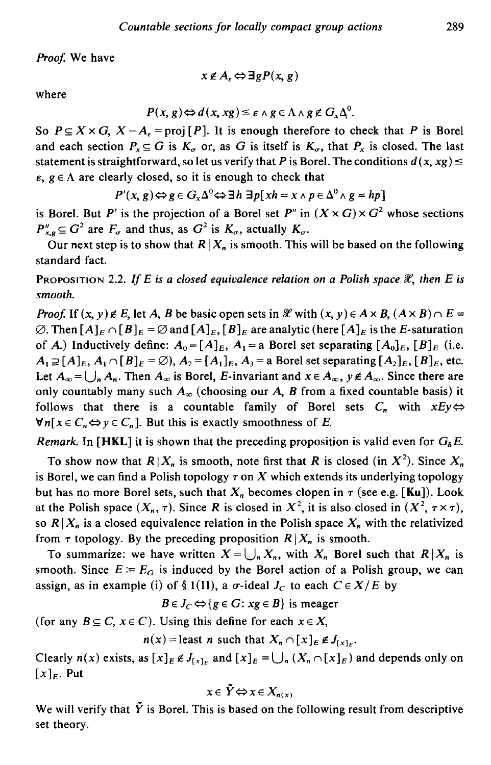Proof. We have

$$
x \notin A_{\varepsilon} \Leftrightarrow \exists g P(x, g)
$$

where

$$
P(x, g) \Leftrightarrow d(x, xg) \leq \varepsilon \wedge g \in \Lambda \wedge g \notin G_x \Delta^0.
$$

So  $P \subseteq X \times G$ ,  $X - A$ <sub>e</sub> = proj [P]. It is enough therefore to check that *P* is Borel and each section  $P_x \subseteq G$  is  $K_\sigma$  or, as G is itself is  $K_\sigma$ , that  $P_x$  is closed. The last statement is straightforward, so let us verify that P is Borel. The conditions  $d(x, xg) \leq$  $\varepsilon$ ,  $g \in \Lambda$  are clearly closed, so it is enough to check that

$$
P'(x, g) \Leftrightarrow g \in G_x \Delta^0 \Leftrightarrow \exists h \exists p [x h = x \wedge p \in \Delta^0 \wedge g = h p]
$$

is Borel. But *P'* is the projection of a Borel set *P''* in  $(X \times G) \times G^2$  whose sections  $P''_{x,q} \subseteq G^2$  are  $F_{\sigma}$  and thus, as  $G^2$  is  $K_{\sigma}$ , actually  $K_{\sigma}$ .

Our next step is to show that  $R|X_n$  is smooth. This will be based on the following standard fact.

PROPOSITION 2.2. If  $E$  is a closed equivalence relation on a Polish space  $\mathscr{X}$ , then  $E$  is *smooth.* 

*Proof.* If  $(x, y) \notin E$ , let *A*, *B* be basic open sets in  $\mathcal{X}$  with  $(x, y) \in A \times B$ ,  $(A \times B) \cap E =$  $\emptyset$ . Then  $[A]_E \cap [B]_E = \emptyset$  and  $[A]_E$ ,  $[B]_E$  are analytic (here  $[A]_E$  is the *E*-saturation of A.) Inductively define:  $A_0 = [A]_E$ ,  $A_1 = a$  Borel set separating  $[A_0]_E$ ,  $[B]_E$  (i.e.  $A_1 \supseteq [A]_E, A_1 \cap [B]_E = \emptyset$ ,  $A_2 = [A_1]_E, A_3 =$  a Borel set separating  $[A_2]_E, [B]_E$ , etc. Let  $A_{\infty} = \bigcup_{n} A_{n}$ . Then  $A_{\infty}$  is Borel, *E*-invariant and  $x \in A_{\infty}$ ,  $y \notin A_{\infty}$ . Since there are only countably many such  $A_{\infty}$  (choosing our A, B from a fixed countable basis) it follows that there is a countable family of Borel sets  $C_n$  with  $xEy \Leftrightarrow$  $\forall n[x \in C_n \Leftrightarrow y \in C_n]$ . But this is exactly smoothness of E.

*Remark.* In [HKL] it is shown that the preceding proposition is valid even for  $G_8E$ .

To show now that  $R|X_n$  is smooth, note first that R is closed (in  $X^2$ ). Since  $X_n$ is Borel, we can find a Polish topology  $\tau$  on  $X$  which extends its underlying topology but has no more Borel sets, such that  $X_n$  becomes clopen in  $\tau$  (see e.g. [Ku]). Look at the Polish space  $(X_n, \tau)$ . Since *R* is closed in  $X^2$ , it is also closed in  $(X^2, \tau \times \tau)$ , so  $R|X_n$  is a closed equivalence relation in the Polish space  $X_n$  with the relativized from  $\tau$  topology. By the preceding proposition  $R|X_n$  is smooth.

To summarize: we have written  $X = \bigcup_n X_n$ , with  $X_n$  Borel such that  $R|X_n$  is smooth. Since  $E = E_G$  is induced by the Borel action of a Polish group, we can assign, as in example (i) of § 1(II), a  $\sigma$ -ideal  $J_C$  to each  $C \in X/E$  by

$$
B \in J_C \Leftrightarrow \{g \in G : xg \in B\} \text{ is meager}
$$

(for any  $B \subseteq C$ ,  $x \in C$ ). Using this define for each  $x \in X$ ,

$$
n(x) = \text{least } n \text{ such that } X_n \cap [x]_E \notin J_{[x]_E}.
$$

Clearly  $n(x)$  exists, as  $[x]_E \notin J_{[x]_E}$  and  $[x]_E = \bigcup_n (X_n \cap [x]_E)$  and depends only on  $[x]_E$ . Put

$$
x\in \tilde{Y} \Leftrightarrow x\in X_{n(x)}
$$

We will verify that  $\tilde{Y}$  is Borel. This is based on the following result from descriptive set theory.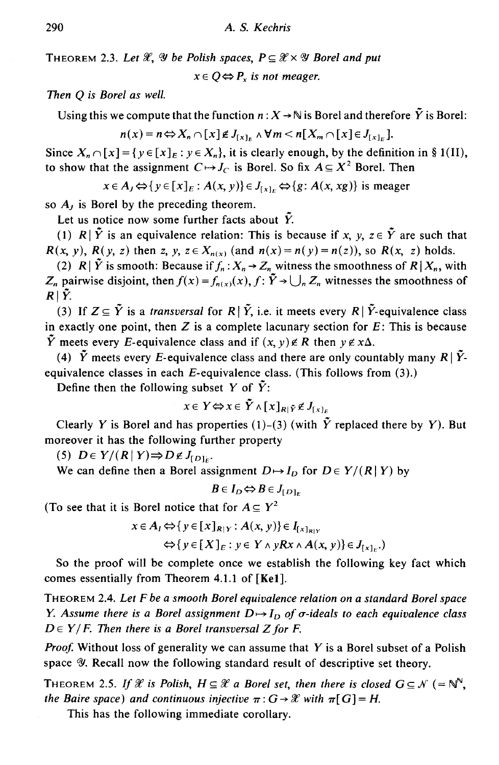THEOREM 2.3. Let  $\mathscr{X}, \mathscr{Y}$  be Polish spaces,  $P \subseteq \mathscr{X} \times \mathscr{Y}$  Borel and put

 $x \in O \Leftrightarrow P_x$  *is not meager.* 

*Then* Q *is Borel as well.* 

Using this we compute that the function  $n: X \to \mathbb{N}$  is Borel and therefore  $\tilde{Y}$  is Borel:

 $n(x) = n \Leftrightarrow X_n \cap [x] \notin J_{[x]_n} \wedge \forall m < n[X_m \cap [x] \in J_{[x]_n}].$ 

Since  $X_n \cap [x] = \{y \in [x]_E : y \in X_n\}$ , it is clearly enough, by the definition in § 1(II), to show that the assignment  $C \rightarrow J_C$  is Borel. So fix  $A \subseteq X^2$  Borel. Then

 $x \in A_j \Leftrightarrow \{y \in [x]_E : A(x, y)\} \in J_{[x]_E} \Leftrightarrow \{g : A(x, xg)\}$  is meager

so A*1* is Borel by the preceding theorem.

Let us notice now some further facts about  $\tilde{Y}$ .

(1)  $R|\tilde{Y}$  is an equivalence relation: This is because if *x*, *y*,  $z \in \tilde{Y}$  are such that *R(x, y), R(y, z)* then *z, y, z*  $\in X_{n(x)}$  (and  $n(x) = n(y) = n(z)$ ), so *R(x, z)* holds.

(2) *R* |  $\tilde{Y}$  is smooth: Because if  $f_n: X_n \to Z_n$  witness the smoothness of *R* |  $X_n$ , with *Z<sub>n</sub>* pairwise disjoint, then  $f(x) = f_{n(x)}(x)$ ,  $f: \tilde{Y} \rightarrow \bigcup_{n} Z_n$  witnesses the smoothness of  $R|\tilde{Y}$ .

(3) If  $Z \subseteq \tilde{Y}$  is a *transversal* for  $R | \tilde{Y}$ , i.e. it meets every  $R | \tilde{Y}$ -equivalence class in exactly one point, then  $Z$  is a complete lacunary section for  $E$ : This is because  $\tilde{Y}$  meets every *E*-equivalence class and if  $(x, y) \notin R$  then  $y \notin x\Delta$ .

(4)  $\tilde{Y}$  meets every *E*-equivalence class and there are only countably many  $R|\tilde{Y}$ equivalence classes in each £-equivalence class. (This follows from (3).)

Define then the following subset *Y* of  $\tilde{Y}$ :

$$
x \in Y \Leftrightarrow x \in \tilde{Y} \wedge [x]_{R|\tilde{Y}} \notin J_{[x]_{\varepsilon}}
$$

Clearly *Y* is Borel and has properties (1)-(3) (with  $\tilde{Y}$  replaced there by *Y*). But moreover it has the following further property

(5)  $D \in Y/(R | Y) \Rightarrow D \notin J_{[D]_c}$ .

We can define then a Borel assignment  $D \mapsto I_D$  for  $D \in Y/(R|Y)$  by

 $B \in I_D \Leftrightarrow B \in J_{[D]_E}$ 

(To see that it is Borel notice that for  $A \subseteq Y^2$ 

$$
x \in A_I \Leftrightarrow \{ y \in [x]_{R|Y} : A(x, y) \} \in I_{[x]_{R|Y}}
$$
  

$$
\Leftrightarrow \{ y \in [X]_E : y \in Y \land yRx \land A(x, y) \} \in J_{[x]_E}.
$$

So the proof will be complete once we establish the following key fact which comes essentially from Theorem 4.1.1 of [Kel].

THEOREM 2.4. *Let* F *be a smooth Borel equivalence relation on a standard Borel space Y. Assume there is a Borel assignment*  $D \rightarrow I_D$  of  $\sigma$ -ideals to each equivalence class  $D \in Y/F$ . Then there is a Borel transversal Z for *F*.

*Proof.* Without loss of generality we can assume that *Y* is a Borel subset of a Polish space *V*. Recall now the following standard result of descriptive set theory.

THEOREM 2.5. If  $\mathscr X$  is Polish,  $H \subseteq \mathscr X$  a Borel set, then there is closed  $G \subseteq \mathscr N$  (=  $\mathbb N$ <sup>n</sup>, *the Baire space) and continuous injective*  $\pi: G \rightarrow \mathcal{X}$  *with*  $\pi[G] = H$ .

This has the following immediate corollary.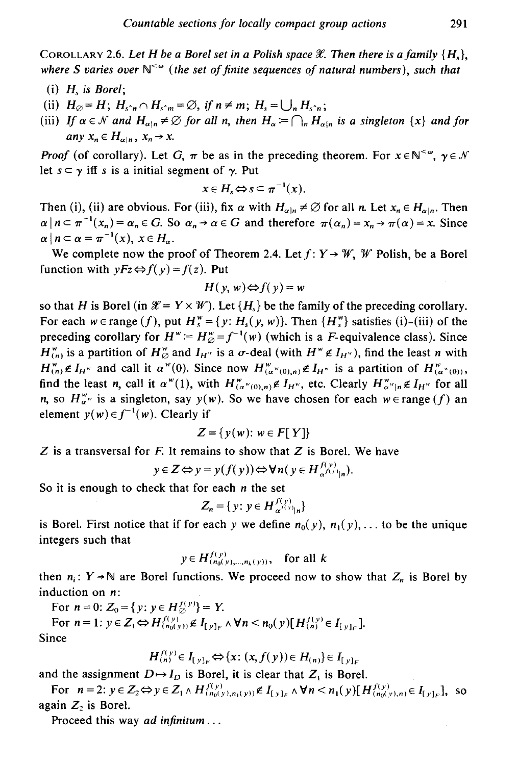COROLLARY 2.6. Let H be a Borel set in a Polish space  $\mathscr X$ . Then there is a family  $\{H_s\}$ , where S varies over  $\mathbb{N}^{\leq \omega}$  (the set of finite sequences of natural numbers), such that

- (i) *Hs is Borel;*
- (ii)  $H_{\emptyset} = H$ ;  $H_{s\hat{m}} \cap H_{s\hat{m}} = \emptyset$ , if  $n \neq m$ ;  $H_s = \bigcup_n H_{s\hat{m}}$ ;
- (iii) If  $\alpha \in \mathcal{N}$  and  $H_{\alpha|n} \neq \emptyset$  for all n, then  $H_{\alpha} := \bigcap_n H_{\alpha|n}$  is a singleton  $\{x\}$  and for *any*  $x_n \in H_{\alpha|n}$ ,  $x_n \to x$ .

*Proof* (of corollary). Let G,  $\pi$  be as in the preceding theorem. For  $x \in \mathbb{N}^{< \omega}$ ,  $\gamma \in \mathcal{N}$ let  $s \subset \gamma$  iff *s* is a initial segment of  $\gamma$ . Put

$$
x\in H_s \Leftrightarrow s\subseteq \pi^{-1}(x).
$$

Then (i), (ii) are obvious. For (iii), fix  $\alpha$  with  $H_{\alpha|n} \neq \emptyset$  for all *n*. Let  $x_n \in H_{\alpha|n}$ . Then  $\alpha | n \subset \pi^{-1}(x_n) = \alpha_n \in G$ . So  $\alpha_n \to \alpha \in G$  and therefore  $\pi(\alpha_n) = x_n \to \pi(\alpha) = x$ . Since  $\alpha \mid n \subset \alpha = \pi^{-1}(x), \ x \in H_\alpha.$ 

We complete now the proof of Theorem 2.4. Let  $f: Y \rightarrow W$ , W Polish, be a Borel function with  $yFz \Leftrightarrow f(y) = f(z)$ . Put

$$
H(y, w) \Leftrightarrow f(y) = w
$$

so that H is Borel (in  $\mathcal{X} = Y \times \mathcal{W}$ ). Let  ${H<sub>s</sub>}$  be the family of the preceding corollary. For each we range (f), put  $H_s^w = \{y: H_s(y, w)\}\$ . Then  $\{H_s^w\}$  satisfies (i)-(iii) of the preceding corollary for  $H^* = H^*_{\varnothing} = f^{-1}(w)$  (which is a *F*-equivalence class). Since  $H_{(n)}^{\omega}$  is a partition of  $H_{\varnothing}^{\omega}$  and  $I_{H^{\omega}}$  is a  $\sigma$ -deal (with  $H^{\omega} \notin I_{H^{\omega}}$ ), find the least *n* with  $H_{(n)}^w \notin I_{H^w}$  and call it  $\alpha^w(0)$ . Since now  $H_{(a^w(0),n)}^w \notin I_{H^w}$  is a partition of  $H_{(a^w(0))}^w$ , find the least *n*, call it  $\alpha^{w}(1)$ , with  $H_{(\alpha^{w}(0),n)}^{w} \notin I_{H^{w}}$ , etc. Clearly  $H_{\alpha^{w}(n)}^{w} \notin I_{H^{w}}$  for all *n*, so  $H_{\alpha}^{*}$  is a singleton, say  $y(w)$ . So we have chosen for each  $w \in \text{range}(f)$  an element  $y(w) \in f^{-1}(w)$ . Clearly if

$$
Z = \{y(w): w \in F[Y]\}
$$

 $Z$  is a transversal for  $F$ . It remains to show that  $Z$  is Borel. We have

 $y \in Z \Leftrightarrow y = y(f(y)) \Leftrightarrow \forall n (y \in H_{\alpha^{f(y)}(n)}^{f(y)}.$ 

So it is enough to check that for each *n* the set

$$
Z_n = \{ y : y \in H_{\alpha^{f(y)}}^{f(y)}|_{n} \}
$$

is Borel. First notice that if for each *y* we define  $n_0(y)$ ,  $n_1(y)$ ,... to be the unique integers such that

$$
y \in H_{(n_0(y),...,n_k(y))}^{f(y)}
$$
, for all k

then  $n_i: Y \rightarrow \mathbb{N}$  are Borel functions. We proceed now to show that  $Z_n$  is Borel by induction on n:

For  $n = 0$ :  $Z_0 = \{y: y \in H^{f(y)}_{\emptyset}\}=Y$ .

For  $n = 1$ :  $y \in Z_1 \Leftrightarrow H_{(n_0(y))}^{f(y)} \notin I_{[y]_F} \wedge \forall n \le n_0(y) [H_{(n)}^{f(y)} \in I_{[y]_F}].$ Since

$$
H_{(n)}^{f(y)} \in I_{[y]_F} \Leftrightarrow \{x: (x, f(y)) \in H_{(n)}\} \in I_{[y]_F}
$$

and the assignment  $D \rightarrow I_D$  is Borel, it is clear that  $Z_1$  is Borel.

For  $n = 2$ :  $y \in Z_2 \Leftrightarrow y \in Z_1 \wedge H_{(n_0(y), n_1(y))}^{f(y)} \not\in I_{[y]_F} \wedge \forall n \lt n_1(y) [H_{(n_0(y), n)}^{f(y)} \in I_{[y]_F}],$  so again  $Z_2$  is Borel.

Proceed this way *ad infinitum* ...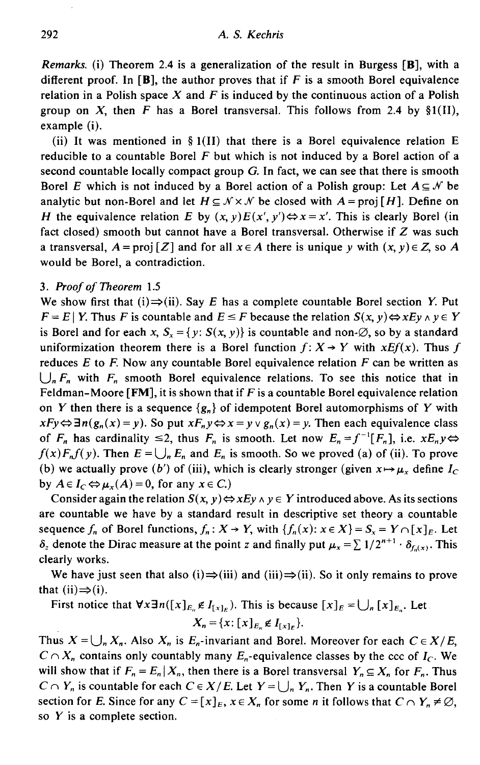*Remarks.* (i) Theorem 2.4 is a generalization of the result in Burgess [B], with a different proof. In [B], the author proves that if  $F$  is a smooth Borel equivalence relation in a Polish space *X* and *F* is induced by the continuous action of a Polish group on X, then F has a Borel transversal. This follows from 2.4 by  $\S1(I)$ , example (i).

(ii) It was mentioned in § 1(II) that there is a Borel equivalence relation E reducible to a countable Borel  $F$  but which is not induced by a Borel action of a second countable locally compact group  $G$ . In fact, we can see that there is smooth Borel E which is not induced by a Borel action of a Polish group: Let  $A \subseteq \mathcal{N}$  be analytic but non-Borel and let  $H \subseteq \mathcal{N} \times \mathcal{N}$  be closed with  $A = \text{proj}[H]$ . Define on *H* the equivalence relation E by  $(x, y)E(x', y') \Leftrightarrow x = x'$ . This is clearly Borel (in fact closed) smooth but cannot have a Borel transversal. Otherwise if *Z* was such a transversal,  $A = \text{proj } [Z]$  and for all  $x \in A$  there is unique *y* with  $(x, y) \in Z$ , so A would be Borel, a contradiction.

# 3. *Proof of Theorem* 1.5

We show first that (i) $\Rightarrow$ (ii). Say E has a complete countable Borel section *Y*. Put  $F = E | Y$ . Thus *F* is countable and  $E \leq F$  because the relation  $S(x, y) \Leftrightarrow x E y \wedge y \in Y$ is Borel and for each *x*,  $S_r = \{y: S(x, y)\}\$ is countable and non- $\emptyset$ , so by a standard uniformization theorem there is a Borel function  $f: X \rightarrow Y$  with  $xEf(x)$ . Thus f reduces  $E$  to  $F$ . Now any countable Borel equivalence relation  $F$  can be written as  $\bigcup_{n} F_n$  with  $F_n$  smooth Borel equivalence relations. To see this notice that in Feldman-Moore [FM], it is shown that if  $F$  is a countable Borel equivalence relation on *Y* then there is a sequence  $\{g_n\}$  of idempotent Borel automorphisms of *Y* with  $xFy \Leftrightarrow \exists n(g_n(x) = y)$ . So put  $xF_ny \Leftrightarrow x = y \vee g_n(x) = y$ . Then each equivalence class of  $F_n$  has cardinality  $\leq 2$ , thus  $F_n$  is smooth. Let now  $E_n = f^{-1}[F_n]$ , i.e.  $xE_ny \Leftrightarrow$  $f(x)F_nf(y)$ . Then  $E = \bigcup_n E_n$  and  $E_n$  is smooth. So we proved (a) of (ii). To prove (b) we actually prove (b') of (iii), which is clearly stronger (given  $x \mapsto \mu_x$  define  $I_C$ by  $A \in I_C \Leftrightarrow \mu_x(A) = 0$ , for any  $x \in C$ .)

Consider again the relation  $S(x, y) \Leftrightarrow x E y \wedge y \in Y$  introduced above. As its sections are countable we have by a standard result in descriptive set theory a countable sequence  $f_n$  of Borel functions,  $f_n: X \to Y$ , with  $\{f_n(x): x \in X\} = S_x = Y \cap [x]_E$ . Let  $\delta_z$  denote the Dirac measure at the point *z* and finally put  $\mu_x = \sum 1/2^{n+1} \cdot \delta_{f(x)}$ . This clearly works.

We have just seen that also (i) $\Rightarrow$ (iii) and (iii) $\Rightarrow$ (ii). So it only remains to prove that  $(ii) \Rightarrow (i)$ .

First notice that  $\forall x \exists n ([x]_{E_n} \notin I_{x\setminus F_n})$ . This is because  $[x]_E = \bigcup_n [x]_{E_n}$ . Let  $X_n = \{x: [x]_{E_n} \notin I_{[x]_F}\}.$ 

Thus  $X = \bigcup_n X_n$ . Also  $X_n$  is  $E_n$ -invariant and Borel. Moreover for each  $C \in X/E$ ,  $C \cap X_n$  contains only countably many  $E_n$ -equivalence classes by the ccc of  $I_c$ . We will show that if  $F_n = E_n | X_n$ , then there is a Borel transversal  $Y_n \subseteq X_n$  for  $F_n$ . Thus *C*  $\cap$  *Y<sub>n</sub>* is countable for each *C*  $\in$  *X*/*E*. Let *Y* =  $\bigcup_n$  *Y<sub>n</sub>*. Then *Y* is a countable Borel section for *E*. Since for any  $C = [x]_E$ ,  $x \in X_n$  for some *n* it follows that  $C \cap Y_n \neq \emptyset$ , so *Y* is a complete section.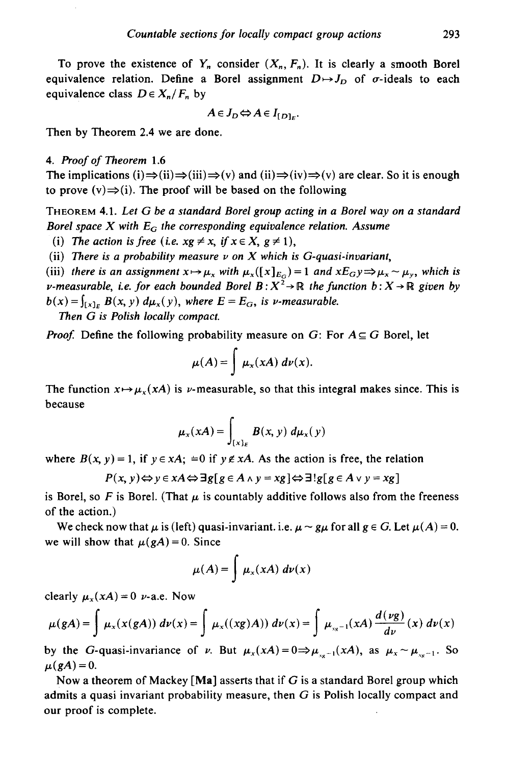To prove the existence of  $Y_n$  consider  $(X_n, F_n)$ . It is clearly a smooth Borel equivalence relation. Define a Borel assignment  $D \mapsto J_D$  of  $\sigma$ -ideals to each equivalence class  $D \in X_n / F_n$  by

$$
A\in J_D \Leftrightarrow A\in I_{[D]_E}.
$$

Then by Theorem 2.4 we are done.

4. *Proof of Theorem* 1.6

The implications (i) $\Rightarrow$ (ii) $\Rightarrow$ (iii) $\Rightarrow$ (v) and (ii) $\Rightarrow$ (iv) $\Rightarrow$ (v) are clear. So it is enough to prove  $(v) \Rightarrow (i)$ . The proof will be based on the following

THEOREM 4.1. *Let* G *be a standard Borel group acting in a Borel way on a standard Borel space X with E<sub>G</sub> the corresponding equivalence relation. Assume* 

(i) The action is free (i.e.  $xg \neq x$ , if  $x \in X$ ,  $g \neq 1$ ),

(ii) There is a probability measure  $\nu$  on  $X$  which is G-quasi-invariant,

(iii) there is an assignment  $x \mapsto \mu_x$  with  $\mu_x([x]_{E_G}) = 1$  and  $xE_Gy \Rightarrow \mu_x \sim \mu_y$ , which is *v*-measurable, i.e. for each bounded Borel  $B: X^2 \to \mathbb{R}$  the function  $b: X \to \mathbb{R}$  given by  $b(x) = \int_{[x]_F} B(x, y) d\mu_x(y)$ , where  $E = E_G$ , is *v*-measurable.

*Then* G *is Polish locally compact.* 

*Proof.* Define the following probability measure on G: For  $A \subseteq G$  Borel, let

$$
\mu(A) = \int \mu_x(xA) \, dv(x).
$$

The function  $x \mapsto \mu_x(xA)$  is *v*-measurable, so that this integral makes since. This is because

$$
\mu_x(xA) = \int_{[x]_E} B(x, y) \ d\mu_x(y)
$$

where  $B(x, y) = 1$ , if  $y \in xA$ ;  $=0$  if  $y \notin xA$ . As the action is free, the relation

$$
P(x, y) \Leftrightarrow y \in xA \Leftrightarrow \exists g[g \in A \land y = xg] \Leftrightarrow \exists ! g[g \in A \lor y = xg]
$$

is Borel, so F is Borel. (That  $\mu$  is countably additive follows also from the freeness of the action.)

We check now that  $\mu$  is (left) quasi-invariant. i.e.  $\mu \sim g\mu$  for all  $g \in G$ . Let  $\mu(A) = 0$ . we will show that  $\mu(gA) = 0$ . Since

$$
\mu(A) = \int \mu_x(xA) \, d\nu(x)
$$

clearly  $\mu_x(xA) = 0$  *v*-a.e. Now

$$
\mu(gA) = \int \mu_x(x(gA)) \ d\nu(x) = \int \mu_x((xg)A)) \ d\nu(x) = \int \mu_{xx^{-1}}(xA) \frac{d(\nu g)}{d\nu}(x) \ d\nu(x)
$$

by the G-quasi-invariance of *v*. But  $\mu_x(xA) = 0 \Rightarrow \mu_{x-1}(xA)$ , as  $\mu_x \sim \mu_{x-1}$ . So  $\mu(gA) = 0.$ 

Now a theorem of Mackey [Ma] asserts that if  $G$  is a standard Borel group which admits a quasi invariant probability measure, then  $G$  is Polish locally compact and our proof is complete.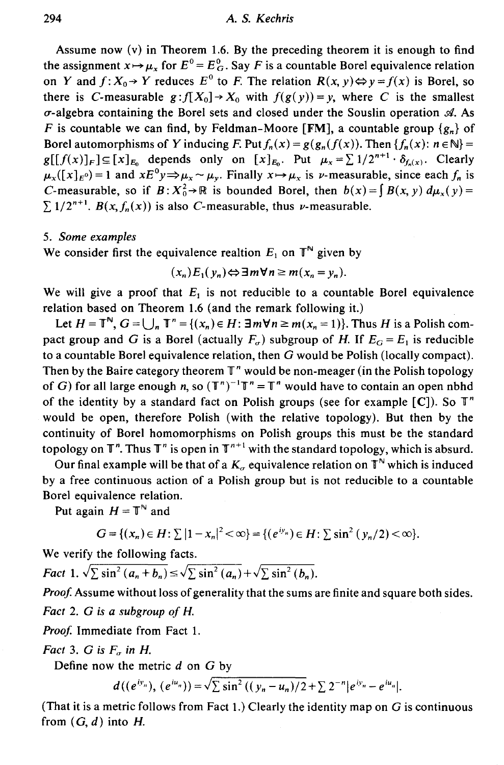Assume now  $(v)$  in Theorem 1.6. By the preceding theorem it is enough to find the assignment  $x \mapsto \mu_x$  for  $E^0 = E_G^0$ . Say *F* is a countable Borel equivalence relation on *Y* and  $f: X_0 \to Y$  reduces  $E^0$  to *F*. The relation  $R(x, y) \Leftrightarrow y = f(x)$  is Borel, so there is C-measurable  $g: f[X_0] \to X_0$  with  $f(g(y)) = y$ , where C is the smallest u-algebra containing the Borel sets and closed under the Souslin operation *d.* As F is countable we can find, by Feldman-Moore [FM], a countable group  $\{g_n\}$  of Borel automorphisms of Y inducing F. Put  $f_n(x) = g(g_n(f(x))$ . Then  $\{f_n(x): n \in \mathbb{N}\}$  $g[[f(x)]_F] \subseteq [x]_{E_0}$  depends only on  $[x]_{E_0}$ . Put  $\mu_x = \sum 1/2^{n+1} \cdot \delta_{f_n(x)}$ . Clearly  $\mu_x([x]_E) = 1$  and  $xE^0y \Rightarrow \mu_x \sim \mu_y$ . Finally  $x \mapsto \mu_x$  is v-measurable, since each  $f_n$  is C-measurable, so if  $B: X_0^2 \to \mathbb{R}$  is bounded Borel, then  $b(x) = \int B(x, y) d\mu_x(y) =$  $\sum 1/2^{n+1}$ .  $B(x, f_n(x))$  is also *C*-measurable, thus *v*-measurable.

# 5. *Some examples*

We consider first the equivalence realtion  $E_1$  on  $\mathbb{T}^N$  given by

$$
(x_n)E_1(y_n) \Leftrightarrow \exists m \forall n \ge m (x_n = y_n).
$$

We will give a proof that  $E_1$  is not reducible to a countable Borel equivalence relation based on Theorem 1.6 (and the remark following it.)

Let  $H = \mathbb{T}^{\mathbb{N}}$ ,  $G = \bigcup_{n=1}^{\infty} \mathbb{T}^{n} = \{(x_n) \in H: \exists m \forall n \geq m (x_n = 1)\}\)$ . Thus H is a Polish compact group and G is a Borel (actually  $F_{\sigma}$ ) subgroup of H. If  $E_G = E_1$  is reducible to a countable Borel equivalence relation, then G would be Polish (locally compact). Then by the Baire category theorem  $\mathbb{T}^n$  would be non-meager (in the Polish topology of G) for all large enough *n*, so  $(T^n)^{-1}T^n = T^n$  would have to contain an open nbhd of the identity by a standard fact on Polish groups (see for example  $[C]$ ). So  $T<sup>n</sup>$ would be open, therefore Polish (with the relative topology). But then by the continuity of Borel homomorphisms on Polish groups this must be the standard topology on  $\mathbb{T}^n$ . Thus  $\mathbb{T}^n$  is open in  $\mathbb{T}^{n+1}$  with the standard topology, which is absurd.

Our final example will be that of a  $K_{\sigma}$  equivalence relation on  $\mathbb{T}^N$  which is induced by a free continuous action of a Polish group but is not reducible to a countable Borel equivalence relation.

Put again  $H = \mathbb{T}^{\mathbb{N}}$  and

$$
G = \{ (x_n) \in H : \sum |1 - x_n|^2 < \infty \} = \{ (e^{iy_n}) \in H : \sum \sin^2 (y_n/2) < \infty \}.
$$

We verify the following facts.

*Fact* 1.  $\sqrt{\sum \sin^2 (a_n + b_n)} \le \sqrt{\sum \sin^2 (a_n)} + \sqrt{\sum \sin^2 (b_n)}$ .

*Proof.* Assume without loss of generality that the sums are finite and square both sides.

*Fact* 2. *G is a subgroup of H.* 

Proof. Immediate from Fact 1.

*Fact* 3. *G* is  $F_{\sigma}$  in *H*.

Define now the metric *d* on *G* by

$$
d((e^{iy_n}), (e^{iu_n})) = \sqrt{\sum \sin^2((y_n - u_n)/2 + \sum 2^{-n}|e^{iy_n} - e^{iu_n}|)}.
$$

(That it is a metric follows from Fact 1.) Clearly the identity map on  $G$  is continuous from  $(G, d)$  into H.